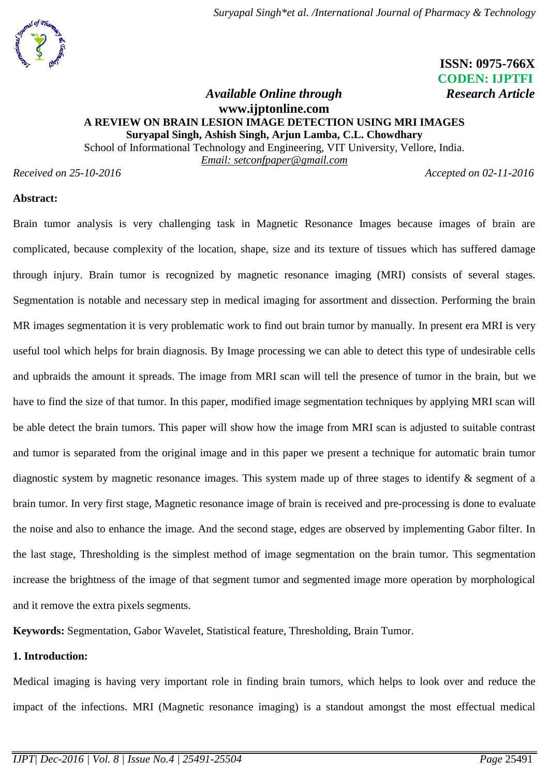# **ISSN: 0975-766X CODEN: IJPTFI**

# *Available Online through* Research Article **[www.ijptonline.com](http://www.ijptonline.com/) A REVIEW ON BRAIN LESION IMAGE DETECTION USING MRI IMAGES Suryapal Singh, Ashish Singh, Arjun Lamba, C.L. Chowdhary**

School of Informational Technology and Engineering, VIT University, Vellore, India.

*Email: setconfpaper@gmail.com*

*Received on 25-10-2016 Accepted on 02-11-2016*

# **Abstract:**

Brain tumor analysis is very challenging task in Magnetic Resonance Images because images of brain are complicated, because complexity of the location, shape, size and its texture of tissues which has suffered damage through injury. Brain tumor is recognized by magnetic resonance imaging (MRI) consists of several stages. Segmentation is notable and necessary step in medical imaging for assortment and dissection. Performing the brain MR images segmentation it is very problematic work to find out brain tumor by manually. In present era MRI is very useful tool which helps for brain diagnosis. By Image processing we can able to detect this type of undesirable cells and upbraids the amount it spreads. The image from MRI scan will tell the presence of tumor in the brain, but we have to find the size of that tumor. In this paper, modified image segmentation techniques by applying MRI scan will be able detect the brain tumors. This paper will show how the image from MRI scan is adjusted to suitable contrast and tumor is separated from the original image and in this paper we present a technique for automatic brain tumor diagnostic system by magnetic resonance images. This system made up of three stages to identify & segment of a brain tumor. In very first stage, Magnetic resonance image of brain is received and pre-processing is done to evaluate the noise and also to enhance the image. And the second stage, edges are observed by implementing Gabor filter. In the last stage, Thresholding is the simplest method of image segmentation on the brain tumor. This segmentation increase the brightness of the image of that segment tumor and segmented image more operation by morphological and it remove the extra pixels segments.

**Keywords:** Segmentation, Gabor Wavelet, Statistical feature, Thresholding, Brain Tumor.

#### **1. Introduction:**

Medical imaging is having very important role in finding brain tumors, which helps to look over and reduce the impact of the infections. MRI (Magnetic resonance imaging) is a standout amongst the most effectual medical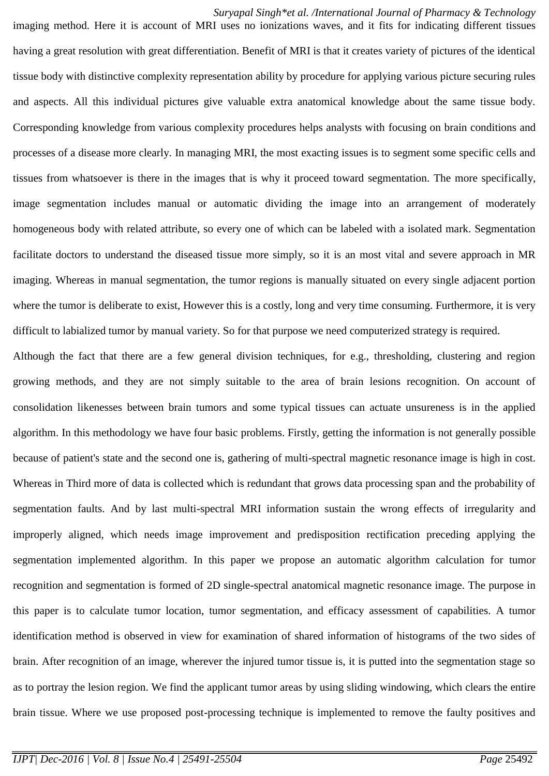imaging method. Here it is account of MRI uses no ionizations waves, and it fits for indicating different tissues having a great resolution with great differentiation. Benefit of MRI is that it creates variety of pictures of the identical tissue body with distinctive complexity representation ability by procedure for applying various picture securing rules and aspects. All this individual pictures give valuable extra anatomical knowledge about the same tissue body. Corresponding knowledge from various complexity procedures helps analysts with focusing on brain conditions and processes of a disease more clearly. In managing MRI, the most exacting issues is to segment some specific cells and tissues from whatsoever is there in the images that is why it proceed toward segmentation. The more specifically, image segmentation includes manual or automatic dividing the image into an arrangement of moderately homogeneous body with related attribute, so every one of which can be labeled with a isolated mark. Segmentation facilitate doctors to understand the diseased tissue more simply, so it is an most vital and severe approach in MR imaging. Whereas in manual segmentation, the tumor regions is manually situated on every single adjacent portion where the tumor is deliberate to exist, However this is a costly, long and very time consuming. Furthermore, it is very difficult to labialized tumor by manual variety. So for that purpose we need computerized strategy is required.

Although the fact that there are a few general division techniques, for e.g., thresholding, clustering and region growing methods, and they are not simply suitable to the area of brain lesions recognition. On account of consolidation likenesses between brain tumors and some typical tissues can actuate unsureness is in the applied algorithm. In this methodology we have four basic problems. Firstly, getting the information is not generally possible because of patient's state and the second one is, gathering of multi-spectral magnetic resonance image is high in cost. Whereas in Third more of data is collected which is redundant that grows data processing span and the probability of segmentation faults. And by last multi-spectral MRI information sustain the wrong effects of irregularity and improperly aligned, which needs image improvement and predisposition rectification preceding applying the segmentation implemented algorithm. In this paper we propose an automatic algorithm calculation for tumor recognition and segmentation is formed of 2D single-spectral anatomical magnetic resonance image. The purpose in this paper is to calculate tumor location, tumor segmentation, and efficacy assessment of capabilities. A tumor identification method is observed in view for examination of shared information of histograms of the two sides of brain. After recognition of an image, wherever the injured tumor tissue is, it is putted into the segmentation stage so as to portray the lesion region. We find the applicant tumor areas by using sliding windowing, which clears the entire brain tissue. Where we use proposed post-processing technique is implemented to remove the faulty positives and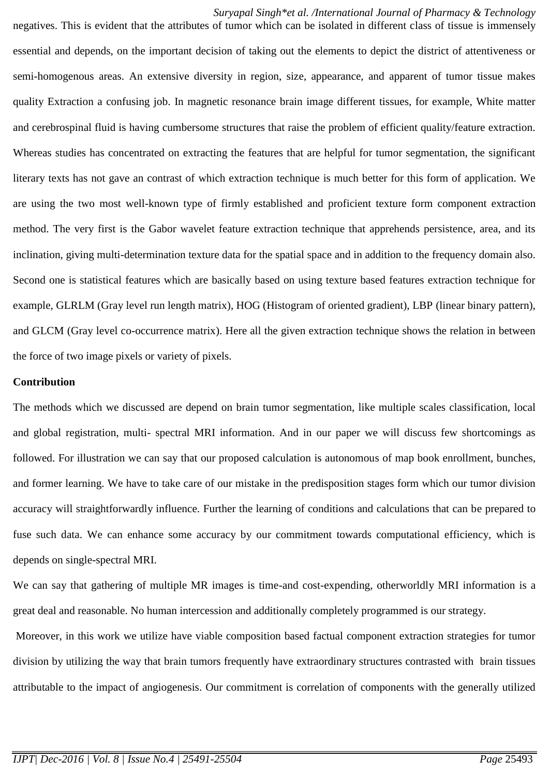negatives. This is evident that the attributes of tumor which can be isolated in different class of tissue is immensely essential and depends, on the important decision of taking out the elements to depict the district of attentiveness or semi-homogenous areas. An extensive diversity in region, size, appearance, and apparent of tumor tissue makes quality Extraction a confusing job. In magnetic resonance brain image different tissues, for example, White matter and cerebrospinal fluid is having cumbersome structures that raise the problem of efficient quality/feature extraction. Whereas studies has concentrated on extracting the features that are helpful for tumor segmentation, the significant literary texts has not gave an contrast of which extraction technique is much better for this form of application. We are using the two most well-known type of firmly established and proficient texture form component extraction method. The very first is the Gabor wavelet feature extraction technique that apprehends persistence, area, and its inclination, giving multi-determination texture data for the spatial space and in addition to the frequency domain also. Second one is statistical features which are basically based on using texture based features extraction technique for example, GLRLM (Gray level run length matrix), HOG (Histogram of oriented gradient), LBP (linear binary pattern), and GLCM (Gray level co-occurrence matrix). Here all the given extraction technique shows the relation in between the force of two image pixels or variety of pixels.

#### **Contribution**

The methods which we discussed are depend on brain tumor segmentation, like multiple scales classification, local and global registration, multi- spectral MRI information. And in our paper we will discuss few shortcomings as followed. For illustration we can say that our proposed calculation is autonomous of map book enrollment, bunches, and former learning. We have to take care of our mistake in the predisposition stages form which our tumor division accuracy will straightforwardly influence. Further the learning of conditions and calculations that can be prepared to fuse such data. We can enhance some accuracy by our commitment towards computational efficiency, which is depends on single-spectral MRI.

We can say that gathering of multiple MR images is time-and cost-expending, otherworldly MRI information is a great deal and reasonable. No human intercession and additionally completely programmed is our strategy.

Moreover, in this work we utilize have viable composition based factual component extraction strategies for tumor division by utilizing the way that brain tumors frequently have extraordinary structures contrasted with brain tissues attributable to the impact of angiogenesis. Our commitment is correlation of components with the generally utilized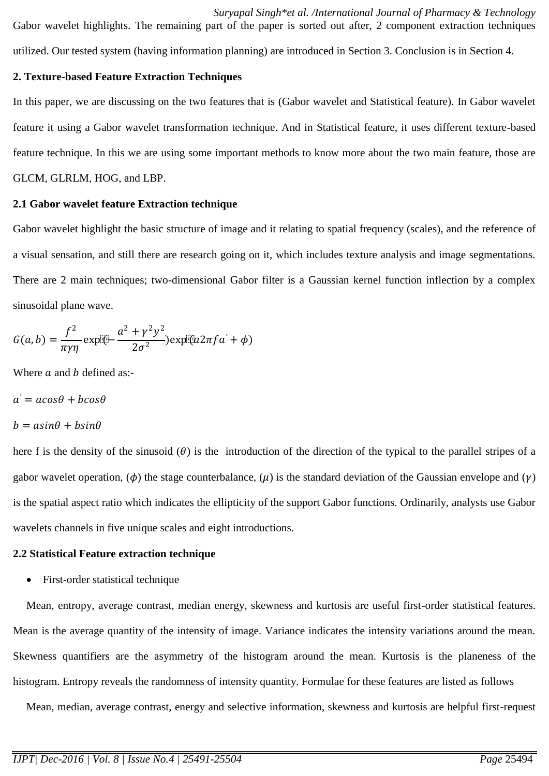*Suryapal Singh\*et al. /International Journal of Pharmacy & Technology* Gabor wavelet highlights. The remaining part of the paper is sorted out after, 2 component extraction techniques utilized. Our tested system (having information planning) are introduced in Section 3. Conclusion is in Section 4.

# **2. Texture-based Feature Extraction Techniques**

In this paper, we are discussing on the two features that is (Gabor wavelet and Statistical feature). In Gabor wavelet feature it using a Gabor wavelet transformation technique. And in Statistical feature, it uses different texture-based feature technique. In this we are using some important methods to know more about the two main feature, those are GLCM, GLRLM, HOG, and LBP.

# **2.1 Gabor wavelet feature Extraction technique**

Gabor wavelet highlight the basic structure of image and it relating to spatial frequency (scales), and the reference of a visual sensation, and still there are research going on it, which includes texture analysis and image segmentations. There are 2 main techniques; two-dimensional Gabor filter is a Gaussian kernel function inflection by a complex sinusoidal plane wave.

$$
G(a,b) = \frac{f^2}{\pi \gamma \eta} \exp[\sqrt{a^2 + \gamma^2 y^2}] \exp[\sqrt{a^2 \pi f a' + \phi}]
$$

Where  $a$  and  $b$  defined as:-

 $a^{'} = a cos \theta + b cos \theta$ 

 $b = a sin\theta + b sin\theta$ 

here f is the density of the sinusoid  $(\theta)$  is the introduction of the direction of the typical to the parallel stripes of a gabor wavelet operation,  $(\phi)$  the stage counterbalance,  $(\mu)$  is the standard deviation of the Gaussian envelope and  $(\gamma)$ is the spatial aspect ratio which indicates the ellipticity of the support Gabor functions. Ordinarily, analysts use Gabor wavelets channels in five unique scales and eight introductions.

# **2.2 Statistical Feature extraction technique**

• First-order statistical technique

Mean, entropy, average contrast, median energy, skewness and kurtosis are useful first-order statistical features. Mean is the average quantity of the intensity of image. Variance indicates the intensity variations around the mean. Skewness quantifiers are the asymmetry of the histogram around the mean. Kurtosis is the [planeness](http://www.synonym.com/synonyms/planeness) of the histogram. Entropy reveals the randomness of intensity quantity. Formulae for these features are listed as follows

Mean, median, average contrast, energy and selective information, skewness and kurtosis are helpful first-request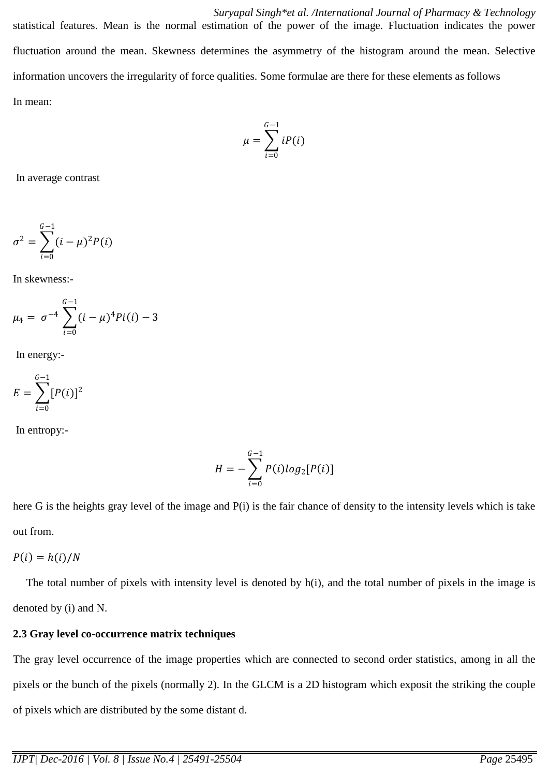*Suryapal Singh\*et al. /International Journal of Pharmacy & Technology* statistical features. Mean is the normal estimation of the power of the image. Fluctuation indicates the power fluctuation around the mean. Skewness determines the asymmetry of the histogram around the mean. Selective information uncovers the irregularity of force qualities. Some formulae are there for these elements as follows In mean:

$$
\mu = \sum_{i=0}^{G-1} iP(i)
$$

In average contrast

$$
\sigma^2 = \sum_{i=0}^{G-1} (i - \mu)^2 P(i)
$$

In skewness:-

$$
\mu_4 = \sigma^{-4} \sum_{i=0}^{G-1} (i - \mu)^4 P(i(i) - 3
$$

In energy:-

$$
E = \sum_{i=0}^{G-1} [P(i)]^2
$$

In entropy:-

$$
H=-\sum_{i=0}^{G-1}P(i)log_2[P(i)]
$$

here G is the heights gray level of the image and P(i) is the fair chance of density to the intensity levels which is take out from.

$$
P(i) = h(i)/N
$$

The total number of pixels with intensity level is denoted by h(i), and the total number of pixels in the image is denoted by (i) and N.

#### **2.3 Gray level co-occurrence matrix techniques**

The gray level occurrence of the image properties which are connected to second order statistics, among in all the pixels or the bunch of the pixels (normally 2). In the GLCM is a 2D histogram which exposit the striking the couple of pixels which are distributed by the some distant d.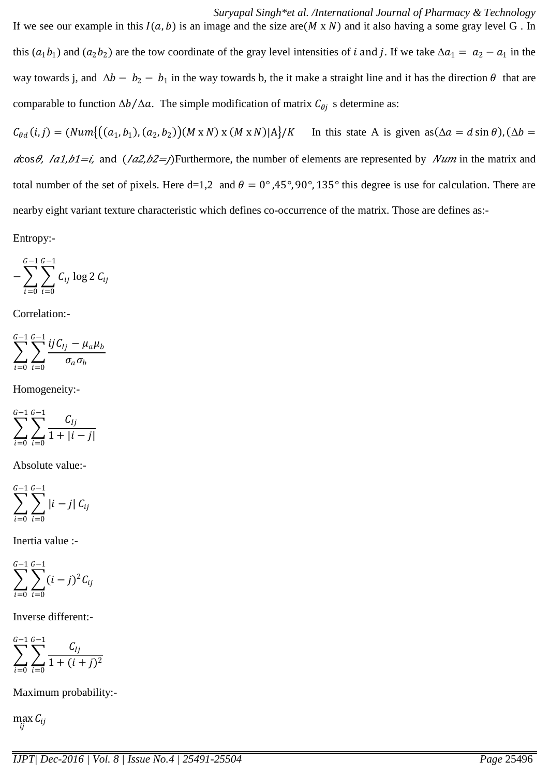*Suryapal Singh\*et al. /International Journal of Pharmacy & Technology* If we see our example in this  $I(a, b)$  is an image and the size are( $M \times N$ ) and it also having a some gray level G. In this  $(a_1b_1)$  and  $(a_2b_2)$  are the tow coordinate of the gray level intensities of *i* and *j*. If we take  $\Delta a_1 = a_2 - a_1$  in the way towards j, and  $\Delta b - b_2 - b_1$  in the way towards b, the it make a straight line and it has the direction  $\theta$  that are comparable to function  $\Delta b / \Delta a$ . The simple modification of matrix  $C_{\theta j}$  s determine as:

 $C_{\theta d}(i,j) = (Num\{((a_1,b_1), (a_2,b_2))(M \times N) \times (M \times N)|A\}/K$  In this state A is given as  $(\Delta a = d \sin \theta)$ ,  $(\Delta b =$  $dcos\theta$ ,  $Ia1,b1=i$ , and  $(Ia2,b2=j)$ Furthermore, the number of elements are represented by *Num* in the matrix and total number of the set of pixels. Here d=1,2 and  $\theta = 0^{\circ}$ , 45°, 90°, 135° this degree is use for calculation. There are nearby eight variant texture characteristic which defines co-occurrence of the matrix. Those are defines as:-

Entropy:-

$$
-\sum_{i=0}^{G-1}\sum_{i=0}^{G-1}C_{ij}\log 2\,C_{ij}
$$

Correlation:-

$$
\sum_{i=0}^{G-1}\sum_{i=0}^{G-1}\frac{ijC_{lj}-\mu_a\mu_b}{\sigma_a\sigma_b}
$$

Homogeneity:-

$$
\sum_{i=0}^{G-1} \sum_{i=0}^{G-1} \frac{C_{lj}}{1+|i-j|}
$$

Absolute value:-

$$
\sum_{i=0}^{G-1} \sum_{i=0}^{G-1} |i-j| C_{ij}
$$

Inertia value :-

$$
\sum_{i=0}^{G-1} \sum_{i=0}^{G-1} (i-j)^2 C_{ij}
$$

Inverse different:-

$$
\sum_{i=0}^{G-1} \sum_{i=0}^{G-1} \frac{C_{lj}}{1 + (i+j)^2}
$$

Maximum probability:-

 $\max_{ij} C_{ij}$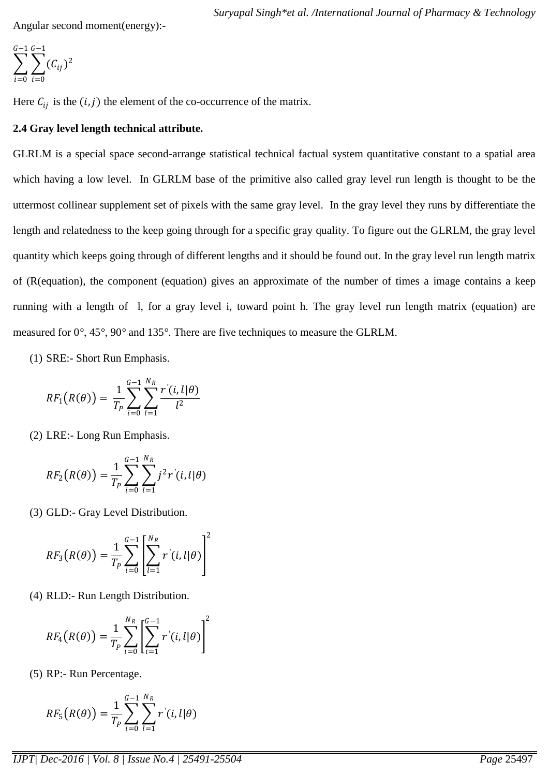Angular second moment(energy):-

$$
\sum_{i=0}^{G-1} \sum_{i=0}^{G-1} (C_{ij})^2
$$

Here  $C_{ij}$  is the  $(i, j)$  the element of the co-occurrence of the matrix.

# **2.4 Gray level length technical attribute.**

GLRLM is a special space second-arrange statistical technical factual system quantitative constant to a spatial area which having a low level. In GLRLM base of the primitive also called gray level run length is thought to be the uttermost collinear supplement set of pixels with the same gray level. In the gray level they runs by differentiate the length and relatedness to the keep going through for a specific gray quality. To figure out the GLRLM, the gray level quantity which keeps going through of different lengths and it should be found out. In the gray level run length matrix of (R(equation), the component (equation) gives an approximate of the number of times a image contains a keep running with a length of l, for a gray level i, toward point h. The gray level run length matrix (equation) are measured for 0*°*, 45*°*, 90*°* and 135*°*. There are five techniques to measure the GLRLM.

(1) SRE:- Short Run Emphasis.

$$
RF_1(R(\theta)) = \frac{1}{T_P} \sum_{i=0}^{G-1} \sum_{l=1}^{N_R} \frac{r'(i, l | \theta)}{l^2}
$$

(2) LRE:- Long Run Emphasis.

$$
RF_2(R(\theta)) = \frac{1}{T_P} \sum_{i=0}^{G-1} \sum_{l=1}^{N_R} j^2 r'(i, l | \theta)
$$

(3) GLD:- Gray Level Distribution.

$$
RF_3(R(\theta)) = \frac{1}{T_P} \sum_{i=0}^{G-1} \left[ \sum_{l=1}^{N_R} r'(i, l | \theta) \right]^2
$$

(4) RLD:- Run Length Distribution.

$$
RF_4(R(\theta)) = \frac{1}{T_P} \sum_{i=0}^{N_R} \left[ \sum_{i=1}^{G-1} r'(i, l | \theta) \right]^2
$$

(5) RP:- Run Percentage.

$$
RF_{5}(R(\theta))=\frac{1}{T_{P}}\sum_{i=0}^{G-1}\sum_{l=1}^{N_{R}}r^{'}(i,l|\theta)
$$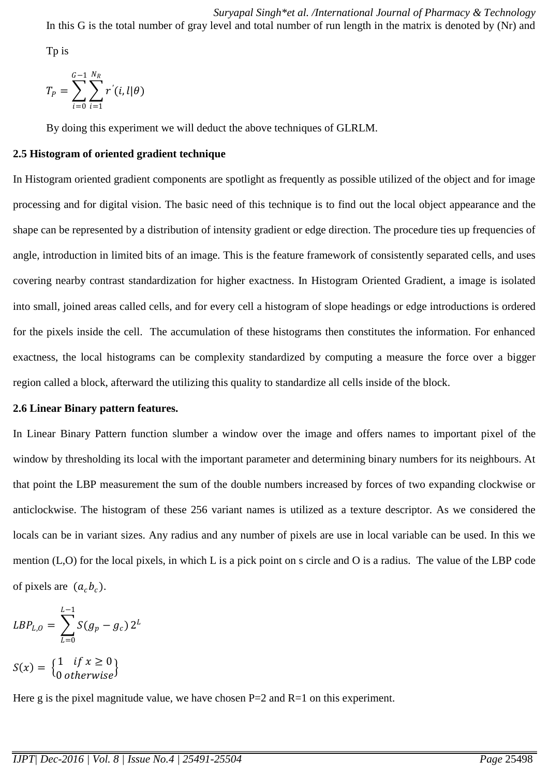*Suryapal Singh\*et al. /International Journal of Pharmacy & Technology* In this G is the total number of gray level and total number of run length in the matrix is denoted by (Nr) and

Tp is

$$
T_P = \sum_{i=0}^{G-1} \sum_{i=1}^{N_R} r'(i, l | \theta)
$$

By doing this experiment we will deduct the above techniques of GLRLM.

# **2.5 Histogram of oriented gradient technique**

In Histogram oriented gradient components are spotlight as frequently as possible utilized of the object and for image processing and for digital vision. The basic need of this technique is to find out the local object appearance and the shape can be represented by a distribution of intensity gradient or edge direction. The procedure ties up frequencies of angle, introduction in limited bits of an image. This is the feature framework of consistently separated cells, and uses covering nearby contrast standardization for higher exactness. In Histogram Oriented Gradient, a image is isolated into small, joined areas called cells, and for every cell a histogram of slope headings or edge introductions is ordered for the pixels inside the cell. The accumulation of these histograms then constitutes the information. For enhanced exactness, the local histograms can be complexity standardized by computing a measure the force over a bigger region called a block, afterward the utilizing this quality to standardize all cells inside of the block.

#### **2.6 Linear Binary pattern features.**

In Linear Binary Pattern function slumber a window over the image and offers names to important pixel of the window by thresholding its local with the important parameter and determining binary numbers for its neighbours. At that point the LBP measurement the sum of the double numbers increased by forces of two expanding clockwise or anticlockwise. The histogram of these 256 variant names is utilized as a texture descriptor. As we considered the locals can be in variant sizes. Any radius and any number of pixels are use in local variable can be used. In this we mention (L,O) for the local pixels, in which L is a pick point on s circle and O is a radius. The value of the LBP code of pixels are  $(a_c b_c)$ .

$$
LBP_{L,0} = \sum_{L=0}^{L-1} S(g_p - g_c) 2^L
$$
  

$$
S(x) = \begin{cases} 1 & \text{if } x \ge 0 \\ 0 & \text{otherwise} \end{cases}
$$

0 otherwise

Here g is the pixel magnitude value, we have chosen  $P=2$  and  $R=1$  on this experiment.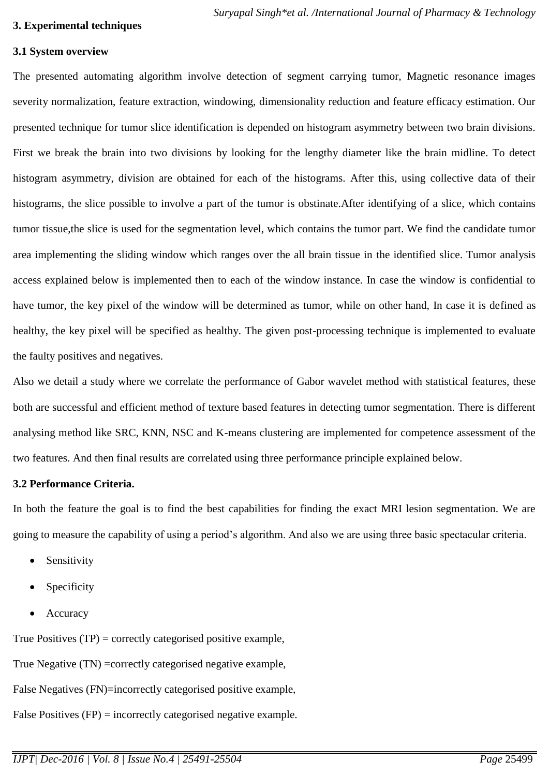#### **3. Experimental techniques**

#### **3.1 System overview**

The presented automating algorithm involve detection of segment carrying tumor, Magnetic resonance images severity normalization, feature extraction, windowing, dimensionality reduction and feature efficacy estimation. Our presented technique for tumor slice identification is depended on histogram asymmetry between two brain divisions. First we break the brain into two divisions by looking for the lengthy diameter like the brain midline. To detect histogram asymmetry, division are obtained for each of the histograms. After this, using collective data of their histograms, the slice possible to involve a part of the tumor is obstinate.After identifying of a slice, which contains tumor tissue,the slice is used for the segmentation level, which contains the tumor part. We find the candidate tumor area implementing the sliding window which ranges over the all brain tissue in the identified slice. Tumor analysis access explained below is implemented then to each of the window instance. In case the window is confidential to have tumor, the key pixel of the window will be determined as tumor, while on other hand, In case it is defined as healthy, the key pixel will be specified as healthy. The given post-processing technique is implemented to evaluate the faulty positives and negatives.

Also we detail a study where we correlate the performance of Gabor wavelet method with statistical features, these both are successful and efficient method of texture based features in detecting tumor segmentation. There is different analysing method like SRC, KNN, NSC and K-means clustering are implemented for competence assessment of the two features. And then final results are correlated using three performance principle explained below.

# **3.2 Performance Criteria.**

In both the feature the goal is to find the best capabilities for finding the exact MRI lesion segmentation. We are going to measure the capability of using a period's algorithm. And also we are using three basic spectacular criteria.

- Sensitivity
- Specificity
- Accuracy

True Positives  $(TP) =$  correctly categorised positive example,

True Negative (TN) =correctly categorised negative example,

False Negatives (FN)=incorrectly categorised positive example,

False Positives (FP) = incorrectly categorised negative example.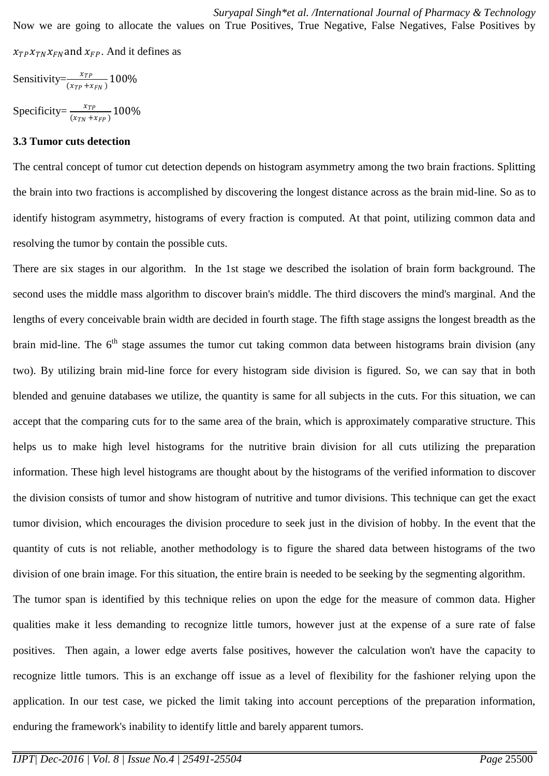Sensitivity= $\frac{x_{TP}}{(x_{TP} + x_{FN})}$  100%

Specificity= $\frac{x_{TP}}{(x_{TN} + x_{FP})}$  100%

#### **3.3 Tumor cuts detection**

The central concept of tumor cut detection depends on histogram asymmetry among the two brain fractions. Splitting the brain into two fractions is accomplished by discovering the longest distance across as the brain mid-line. So as to identify histogram asymmetry, histograms of every fraction is computed. At that point, utilizing common data and resolving the tumor by contain the possible cuts.

There are six stages in our algorithm. In the 1st stage we described the isolation of brain form background. The second uses the middle mass algorithm to discover brain's middle. The third discovers the mind's marginal. And the lengths of every conceivable brain width are decided in fourth stage. The fifth stage assigns the longest breadth as the brain mid-line. The  $6<sup>th</sup>$  stage assumes the tumor cut taking common data between histograms brain division (any two). By utilizing brain mid-line force for every histogram side division is figured. So, we can say that in both blended and genuine databases we utilize, the quantity is same for all subjects in the cuts. For this situation, we can accept that the comparing cuts for to the same area of the brain, which is approximately comparative structure. This helps us to make high level histograms for the nutritive brain division for all cuts utilizing the preparation information. These high level histograms are thought about by the histograms of the verified information to discover the division consists of tumor and show histogram of nutritive and tumor divisions. This technique can get the exact tumor division, which encourages the division procedure to seek just in the division of hobby. In the event that the quantity of cuts is not reliable, another methodology is to figure the shared data between histograms of the two division of one brain image. For this situation, the entire brain is needed to be seeking by the segmenting algorithm. The tumor span is identified by this technique relies on upon the edge for the measure of common data. Higher qualities make it less demanding to recognize little tumors, however just at the expense of a sure rate of false positives. Then again, a lower edge averts false positives, however the calculation won't have the capacity to recognize little tumors. This is an exchange off issue as a level of flexibility for the fashioner relying upon the application. In our test case, we picked the limit taking into account perceptions of the preparation information, enduring the framework's inability to identify little and barely apparent tumors.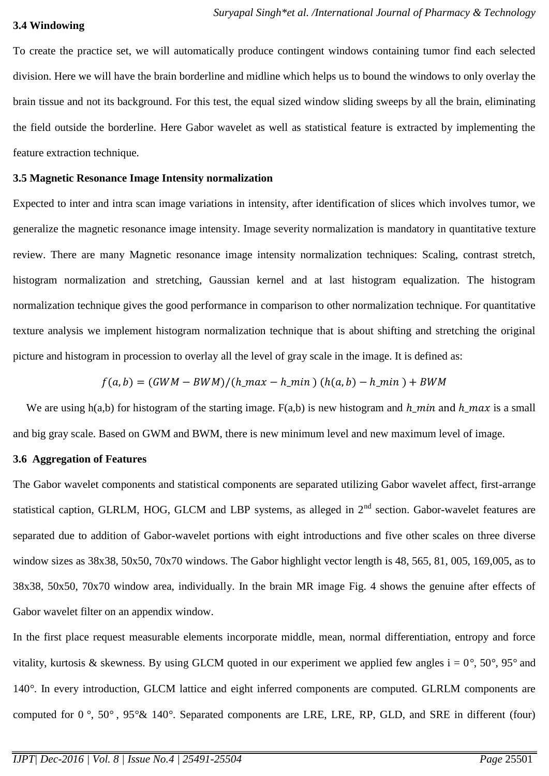#### **3.4 Windowing**

To create the practice set, we will automatically produce contingent windows containing tumor find each selected division. Here we will have the brain borderline and midline which helps us to bound the windows to only overlay the brain tissue and not its background. For this test, the equal sized window sliding sweeps by all the brain, eliminating the field outside the borderline. Here Gabor wavelet as well as statistical feature is extracted by implementing the feature extraction technique.

# **3.5 Magnetic Resonance Image Intensity normalization**

Expected to inter and intra scan image variations in intensity, after identification of slices which involves tumor, we generalize the magnetic resonance image intensity. Image severity normalization is mandatory in quantitative texture review. There are many Magnetic resonance image intensity normalization techniques: Scaling, contrast stretch, histogram normalization and stretching, Gaussian kernel and at last histogram equalization. The histogram normalization technique gives the good performance in comparison to other normalization technique. For quantitative texture analysis we implement histogram normalization technique that is about shifting and stretching the original picture and histogram in procession to overlay all the level of gray scale in the image. It is defined as:

$$
f(a,b) = (GWM - BWM)/(h\_max - h\_min) (h(a,b) - h\_min) + BWM
$$

We are using h(a,b) for histogram of the starting image.  $F(a,b)$  is new histogram and  $h$ <sub>m</sub> and  $h$ <sub>m</sub> and is a small and big gray scale. Based on GWM and BWM, there is new minimum level and new maximum level of image.

# **3.6 Aggregation of Features**

The Gabor wavelet components and statistical components are separated utilizing Gabor wavelet affect, first-arrange statistical caption, GLRLM, HOG, GLCM and LBP systems, as alleged in  $2<sup>nd</sup>$  section. Gabor-wavelet features are separated due to addition of Gabor-wavelet portions with eight introductions and five other scales on three diverse window sizes as 38x38, 50x50, 70x70 windows. The Gabor highlight vector length is 48, 565, 81, 005, 169,005, as to 38x38, 50x50, 70x70 window area, individually. In the brain MR image Fig. 4 shows the genuine after effects of Gabor wavelet filter on an appendix window.

In the first place request measurable elements incorporate middle, mean, normal differentiation, entropy and force vitality, kurtosis & skewness. By using GLCM quoted in our experiment we applied few angles i = 0*°*, 50*°*, 95*°* and 140*°*. In every introduction, GLCM lattice and eight inferred components are computed. GLRLM components are computed for 0 *°*, 50*°* , 95*°*& 140*°*. Separated components are LRE, LRE, RP, GLD, and SRE in different (four)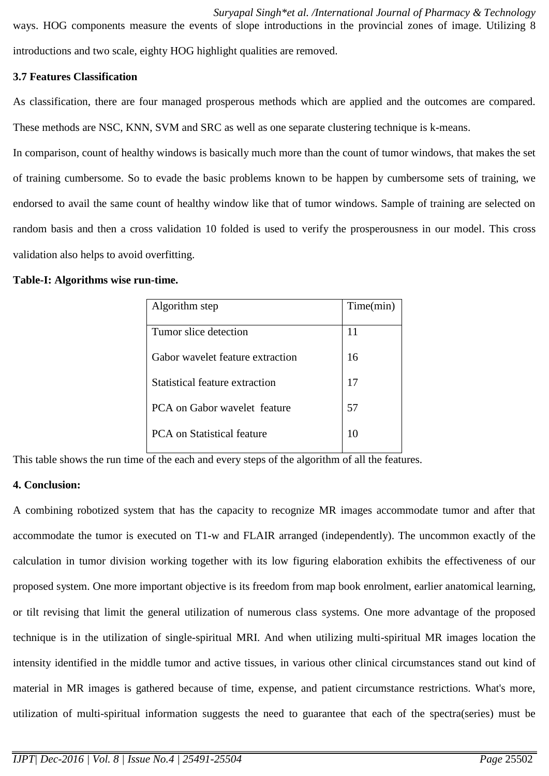*Suryapal Singh\*et al. /International Journal of Pharmacy & Technology* ways. HOG components measure the events of slope introductions in the provincial zones of image. Utilizing 8 introductions and two scale, eighty HOG highlight qualities are removed.

# **3.7 Features Classification**

As classification, there are four managed prosperous methods which are applied and the outcomes are compared.

These methods are NSC, KNN, SVM and SRC as well as one separate clustering technique is k-means.

In comparison, count of healthy windows is basically much more than the count of tumor windows, that makes the set of training cumbersome. So to evade the basic problems known to be happen by cumbersome sets of training, we endorsed to avail the same count of healthy window like that of tumor windows. Sample of training are selected on random basis and then a cross validation 10 folded is used to verify the prosperousness in our model. This cross validation also helps to avoid overfitting.

#### **Table-I: Algorithms wise run-time.**

| Algorithm step                        | Time(min) |
|---------------------------------------|-----------|
| Tumor slice detection                 | 11        |
|                                       |           |
| Gabor wavelet feature extraction      | 16        |
| <b>Statistical feature extraction</b> | 17        |
| PCA on Gabor wavelet feature          | 57        |
| <b>PCA</b> on Statistical feature     | 10        |

This table shows the run time of the each and every steps of the algorithm of all the features.

# **4. Conclusion:**

A combining robotized system that has the capacity to recognize MR images accommodate tumor and after that accommodate the tumor is executed on T1-w and FLAIR arranged (independently). The uncommon exactly of the calculation in tumor division working together with its low figuring elaboration exhibits the effectiveness of our proposed system. One more important objective is its freedom from map book enrolment, earlier anatomical learning, or tilt revising that limit the general utilization of numerous class systems. One more advantage of the proposed technique is in the utilization of single-spiritual MRI. And when utilizing multi-spiritual MR images location the intensity identified in the middle tumor and active tissues, in various other clinical circumstances stand out kind of material in MR images is gathered because of time, expense, and patient circumstance restrictions. What's more, utilization of multi-spiritual information suggests the need to guarantee that each of the spectra(series) must be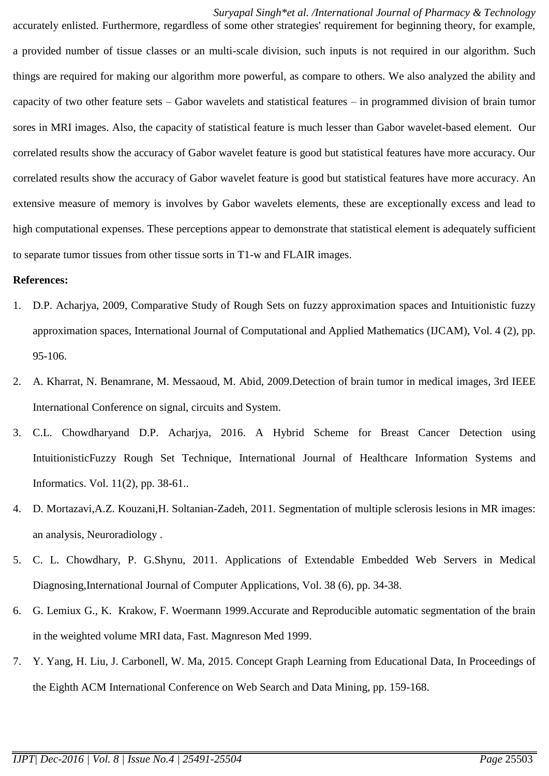*Suryapal Singh\*et al. /International Journal of Pharmacy & Technology* accurately enlisted. Furthermore, regardless of some other strategies' requirement for beginning theory, for example, a provided number of tissue classes or an multi-scale division, such inputs is not required in our algorithm. Such things are required for making our algorithm more powerful, as compare to others. We also analyzed the ability and capacity of two other feature sets – Gabor wavelets and statistical features – in programmed division of brain tumor sores in MRI images. Also, the capacity of statistical feature is much lesser than Gabor wavelet-based element. Our correlated results show the accuracy of Gabor wavelet feature is good but statistical features have more accuracy. Our correlated results show the accuracy of Gabor wavelet feature is good but statistical features have more accuracy. An extensive measure of memory is involves by Gabor wavelets elements, these are exceptionally excess and lead to high computational expenses. These perceptions appear to demonstrate that statistical element is adequately sufficient to separate tumor tissues from other tissue sorts in T1-w and FLAIR images.

# **References:**

- 1. D.P. Acharjya, 2009, Comparative Study of Rough Sets on fuzzy approximation spaces and Intuitionistic fuzzy approximation spaces, International Journal of Computational and Applied Mathematics (IJCAM), Vol. 4 (2), pp. 95-106.
- 2. A. Kharrat, N. Benamrane, M. Messaoud, M. Abid, 2009.Detection of brain tumor in medical images, 3rd IEEE International Conference on signal, circuits and System.
- 3. C.L. Chowdharyand D.P. Acharjya, 2016. A Hybrid Scheme for Breast Cancer Detection using IntuitionisticFuzzy Rough Set Technique, International Journal of Healthcare Information Systems and Informatics. Vol. 11(2), pp. 38-61..
- 4. D. Mortazavi,A.Z. Kouzani,H. Soltanian-Zadeh, 2011. Segmentation of multiple sclerosis lesions in MR images: an analysis, Neuroradiology .
- 5. C. L. Chowdhary, P. G.Shynu, 2011. Applications of Extendable Embedded Web Servers in Medical Diagnosing,International Journal of Computer Applications, Vol. 38 (6), pp. 34-38.
- 6. G. Lemiux G., K. Krakow, F. Woermann 1999.Accurate and Reproducible automatic segmentation of the brain in the weighted volume MRI data, Fast. Magnreson Med 1999.
- 7. Y. Yang, H. Liu, J. Carbonell, W. Ma, 2015. Concept Graph Learning from Educational Data, In Proceedings of the Eighth ACM International Conference on Web Search and Data Mining, pp. 159-168.